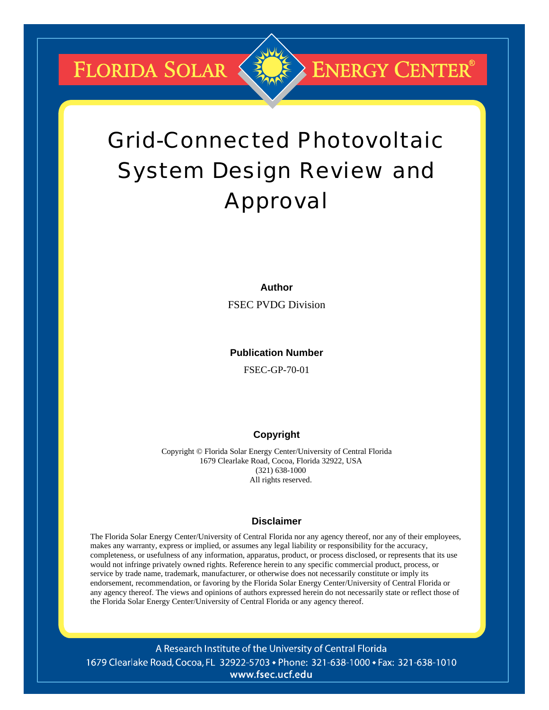**FLORIDA SOLAR &** 



# **ENERGY CENTER®**

# Grid-Connected Photovoltaic System Design Review and Approval

**Author** 

FSEC PVDG Division

#### **Publication Number**

FSEC-GP-70-01

#### **Copyright**

Copyright © Florida Solar Energy Center/University of Central Florida 1679 Clearlake Road, Cocoa, Florida 32922, USA (321) 638-1000 All rights reserved.

#### **Disclaimer**

The Florida Solar Energy Center/University of Central Florida nor any agency thereof, nor any of their employees, makes any warranty, express or implied, or assumes any legal liability or responsibility for the accuracy, completeness, or usefulness of any information, apparatus, product, or process disclosed, or represents that its use would not infringe privately owned rights. Reference herein to any specific commercial product, process, or service by trade name, trademark, manufacturer, or otherwise does not necessarily constitute or imply its endorsement, recommendation, or favoring by the Florida Solar Energy Center/University of Central Florida or any agency thereof. The views and opinions of authors expressed herein do not necessarily state or reflect those of the Florida Solar Energy Center/University of Central Florida or any agency thereof.

A Research Institute of the University of Central Florida 1679 Clearlake Road, Cocoa, FL 32922-5703 • Phone: 321-638-1000 • Fax: 321-638-1010 www.fsec.ucf.edu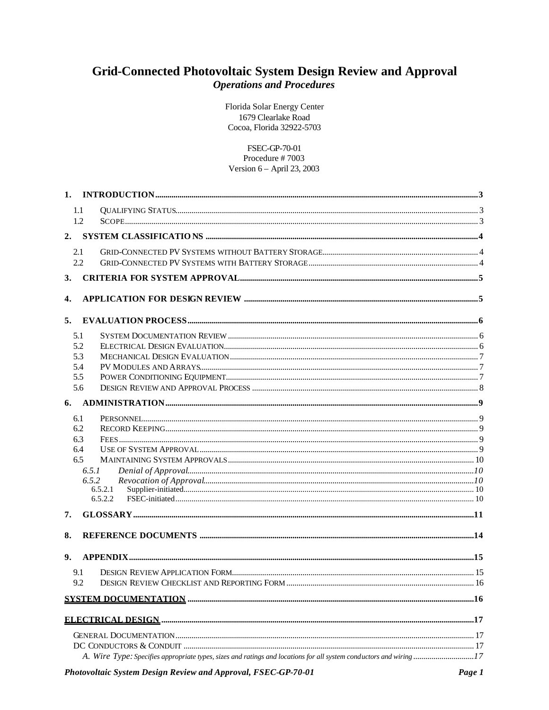# Grid-Connected Photovoltaic System Design Review and Approval **Operations and Procedures**

Florida Solar Energy Center 1679 Clearlake Road Cocoa, Florida 32922-5703

FSEC-GP-70-01 Procedure #7003 Version 6 - April 23, 2003

| 1.             |         |  |
|----------------|---------|--|
|                | 1.1     |  |
|                | 1.2     |  |
| 2.             |         |  |
|                | 2.1     |  |
|                | 2.2     |  |
| 3.             |         |  |
| 4.             |         |  |
| 5.             |         |  |
|                | 5.1     |  |
|                | 5.2     |  |
|                | 5.3     |  |
|                | 5.4     |  |
|                | 5.5     |  |
|                | 5.6     |  |
| 6.             |         |  |
|                | 6.1     |  |
|                | 6.2     |  |
|                | 6.3     |  |
|                | 6.4     |  |
|                | 6.5     |  |
|                | 6.5.1   |  |
|                | 6.5.2   |  |
|                | 6.5.2.1 |  |
|                | 6.5.2.2 |  |
| 7.             |         |  |
| 8.             |         |  |
| 9 <sub>r</sub> |         |  |
|                | 9.1     |  |
|                | 9.2     |  |
|                |         |  |
|                |         |  |
|                |         |  |
|                |         |  |
|                |         |  |
|                |         |  |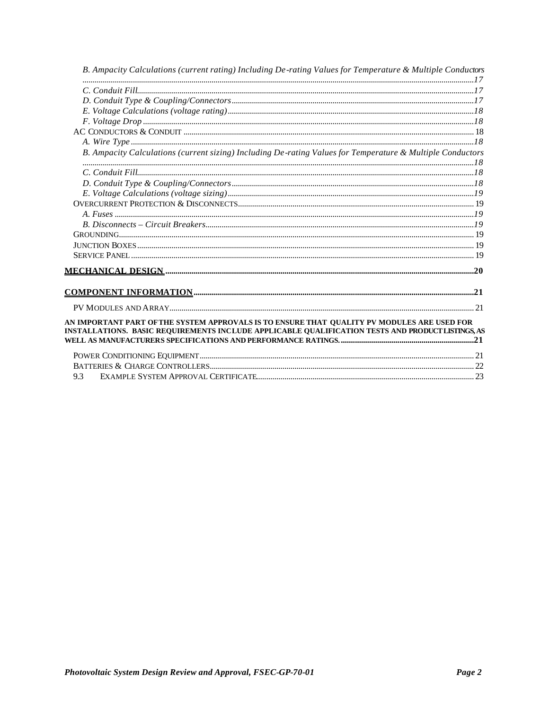| B. Ampacity Calculations (current rating) Including De-rating Values for Temperature & Multiple Conductors                                                                                       |  |
|--------------------------------------------------------------------------------------------------------------------------------------------------------------------------------------------------|--|
|                                                                                                                                                                                                  |  |
|                                                                                                                                                                                                  |  |
|                                                                                                                                                                                                  |  |
|                                                                                                                                                                                                  |  |
|                                                                                                                                                                                                  |  |
|                                                                                                                                                                                                  |  |
| B. Ampacity Calculations (current sizing) Including De-rating Values for Temperature & Multiple Conductors                                                                                       |  |
|                                                                                                                                                                                                  |  |
|                                                                                                                                                                                                  |  |
|                                                                                                                                                                                                  |  |
|                                                                                                                                                                                                  |  |
|                                                                                                                                                                                                  |  |
|                                                                                                                                                                                                  |  |
|                                                                                                                                                                                                  |  |
|                                                                                                                                                                                                  |  |
|                                                                                                                                                                                                  |  |
|                                                                                                                                                                                                  |  |
|                                                                                                                                                                                                  |  |
|                                                                                                                                                                                                  |  |
|                                                                                                                                                                                                  |  |
| AN IMPORTANT PART OF THE SYSTEM APPROVALS IS TO ENSURE THAT QUALITY PV MODULES ARE USED FOR<br>INSTALLATIONS. BASIC REQUIREMENTS INCLUDE APPLICABLE QUALIFICATION TESTS AND PRODUCT LISTINGS, AS |  |
|                                                                                                                                                                                                  |  |
|                                                                                                                                                                                                  |  |
| 9.3                                                                                                                                                                                              |  |
|                                                                                                                                                                                                  |  |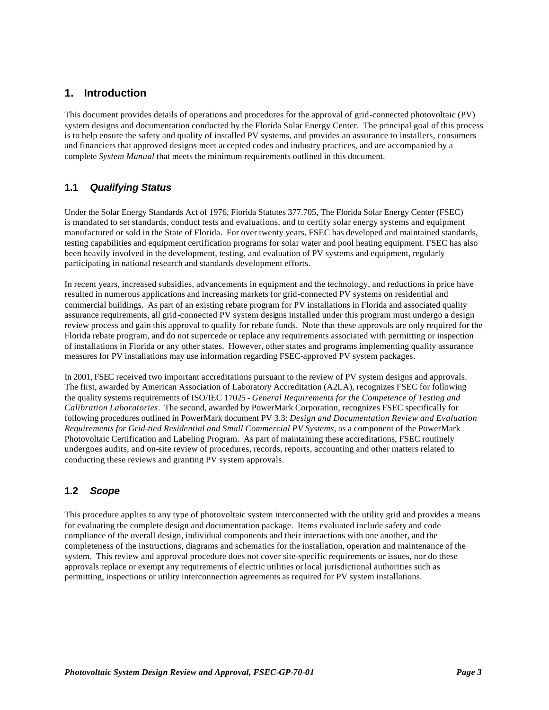#### **1. Introduction**

This document provides details of operations and procedures for the approval of grid-connected photovoltaic (PV) system designs and documentation conducted by the Florida Solar Energy Center. The principal goal of this process is to help ensure the safety and quality of installed PV systems, and provides an assurance to installers, consumers and financiers that approved designs meet accepted codes and industry practices, and are accompanied by a complete *System Manual* that meets the minimum requirements outlined in this document.

#### **1.1** *Qualifying Status*

Under the Solar Energy Standards Act of 1976, Florida Statutes 377.705, The Florida Solar Energy Center (FSEC) is mandated to set standards, conduct tests and evaluations, and to certify solar energy systems and equipment manufactured or sold in the State of Florida. For over twenty years, FSEC has developed and maintained standards, testing capabilities and equipment certification programs for solar water and pool heating equipment. FSEC has also been heavily involved in the development, testing, and evaluation of PV systems and equipment, regularly participating in national research and standards development efforts.

In recent years, increased subsidies, advancements in equipment and the technology, and reductions in price have resulted in numerous applications and increasing markets for grid-connected PV systems on residential and commercial buildings. As part of an existing rebate program for PV installations in Florida and associated quality assurance requirements, all grid-connected PV system designs installed under this program must undergo a design review process and gain this approval to qualify for rebate funds. Note that these approvals are only required for the Florida rebate program, and do not supercede or replace any requirements associated with permitting or inspection of installations in Florida or any other states. However, other states and programs implementing quality assurance measures for PV installations may use information regarding FSEC-approved PV system packages.

In 2001, FSEC received two important accreditations pursuant to the review of PV system designs and approvals. The first, awarded by American Association of Laboratory Accreditation (A2LA), recognizes FSEC for following the quality systems requirements of ISO/IEC 17025 - *General Requirements for the Competence of Testing and Calibration Laboratories*. The second, awarded by PowerMark Corporation, recognizes FSEC specifically for following procedures outlined in PowerMark document PV 3.3: *Design and Documentation Review and Evaluation Requirements for Grid-tied Residential and Small Commercial PV Systems*, as a component of the PowerMark Photovoltaic Certification and Labeling Program. As part of maintaining these accreditations, FSEC routinely undergoes audits, and on-site review of procedures, records, reports, accounting and other matters related to conducting these reviews and granting PV system approvals.

#### **1.2** *Scope*

This procedure applies to any type of photovoltaic system interconnected with the utility grid and provides a means for evaluating the complete design and documentation package. Items evaluated include safety and code compliance of the overall design, individual components and their interactions with one another, and the completeness of the instructions, diagrams and schematics for the installation, operation and maintenance of the system. This review and approval procedure does not cover site-specific requirements or issues, nor do these approvals replace or exempt any requirements of electric utilities or local jurisdictional authorities such as permitting, inspections or utility interconnection agreements as required for PV system installations.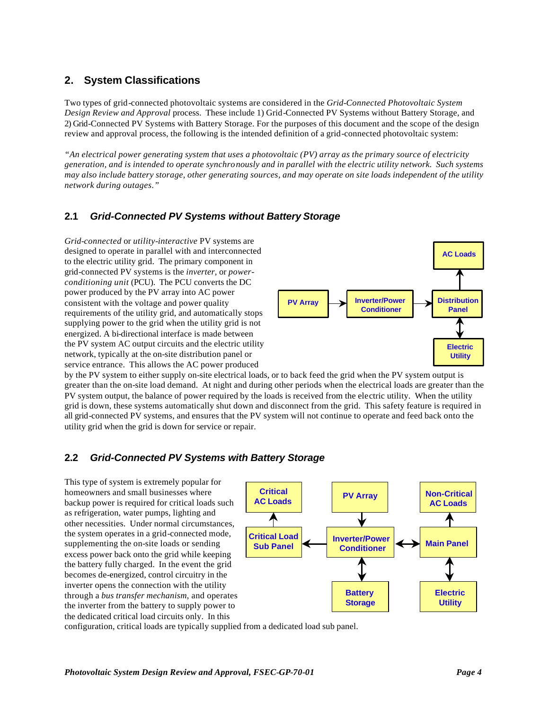# **2. System Classifications**

Two types of grid-connected photovoltaic systems are considered in the *Grid-Connected Photovoltaic System Design Review and Approval* process. These include 1) Grid-Connected PV Systems without Battery Storage, and 2) Grid-Connected PV Systems with Battery Storage. For the purposes of this document and the scope of the design review and approval process, the following is the intended definition of a grid-connected photovoltaic system:

*"An electrical power generating system that uses a photovoltaic (PV) array as the primary source of electricity generation, and is intended to operate synchronously and in parallel with the electric utility network. Such systems may also include battery storage, other generating sources, and may operate on site loads independent of the utility network during outages."*

# **2.1** *Grid-Connected PV Systems without Battery Storage*

*Grid-connected* or *utility-interactive* PV systems are designed to operate in parallel with and interconnected to the electric utility grid. The primary component in grid-connected PV systems is the *inverter,* or *powerconditioning unit* (PCU). The PCU converts the DC power produced by the PV array into AC power consistent with the voltage and power quality requirements of the utility grid, and automatically stops supplying power to the grid when the utility grid is not energized. A bi-directional interface is made between the PV system AC output circuits and the electric utility network, typically at the on-site distribution panel or service entrance. This allows the AC power produced



by the PV system to either supply on-site electrical loads, or to back feed the grid when the PV system output is greater than the on-site load demand. At night and during other periods when the electrical loads are greater than the PV system output, the balance of power required by the loads is received from the electric utility. When the utility grid is down, these systems automatically shut down and disconnect from the grid. This safety feature is required in all grid-connected PV systems, and ensures that the PV system will not continue to operate and feed back onto the utility grid when the grid is down for service or repair.

#### **2.2** *Grid-Connected PV Systems with Battery Storage*

This type of system is extremely popular for homeowners and small businesses where backup power is required for critical loads such as refrigeration, water pumps, lighting and other necessities. Under normal circumstances, the system operates in a grid-connected mode, supplementing the on-site loads or sending excess power back onto the grid while keeping the battery fully charged. In the event the grid becomes de-energized, control circuitry in the inverter opens the connection with the utility through a *bus transfer mechanism*, and operates the inverter from the battery to supply power to the dedicated critical load circuits only. In this



configuration, critical loads are typically supplied from a dedicated load sub panel.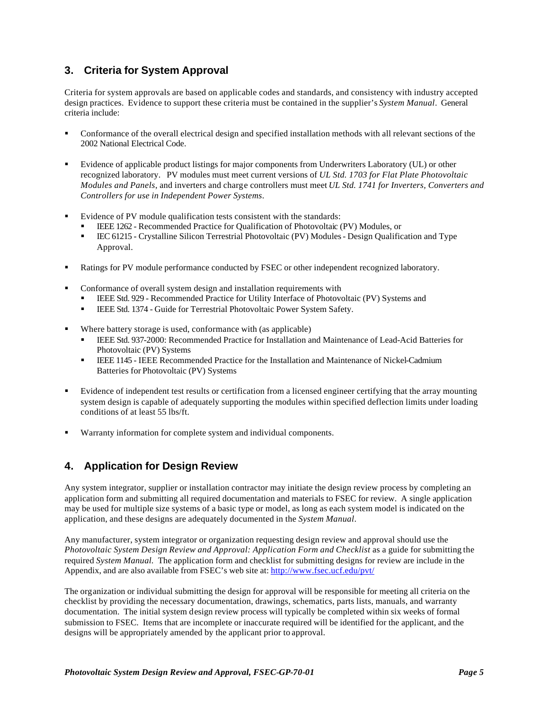# **3. Criteria for System Approval**

Criteria for system approvals are based on applicable codes and standards, and consistency with industry accepted design practices. Evidence to support these criteria must be contained in the supplier's *System Manual*. General criteria include:

- ß Conformance of the overall electrical design and specified installation methods with all relevant sections of the 2002 National Electrical Code.
- ß Evidence of applicable product listings for major components from Underwriters Laboratory (UL) or other recognized laboratory. PV modules must meet current versions of *UL Std. 1703 for Flat Plate Photovoltaic Modules and Panels*, and inverters and charge controllers must meet *UL Std. 1741 for Inverters, Converters and Controllers for use in Independent Power Systems*.
- ß Evidence of PV module qualification tests consistent with the standards:
	- **EEE 1262 Recommended Practice for Qualification of Photovoltaic (PV) Modules, or**
	- **EC 61215 Crystalline Silicon Terrestrial Photovoltaic (PV) Modules Design Qualification and Type** Approval.
- ß Ratings for PV module performance conducted by FSEC or other independent recognized laboratory.
- ß Conformance of overall system design and installation requirements with
	- ß IEEE Std. 929 Recommended Practice for Utility Interface of Photovoltaic (PV) Systems and
	- **EEE Std. 1374 Guide for Terrestrial Photovoltaic Power System Safety.**
- Where battery storage is used, conformance with (as applicable)
	- ß IEEE Std. 937-2000: Recommended Practice for Installation and Maintenance of Lead-Acid Batteries for Photovoltaic (PV) Systems
	- **EEE 1145 IEEE Recommended Practice for the Installation and Maintenance of Nickel-Cadmium** Batteries for Photovoltaic (PV) Systems
- ß Evidence of independent test results or certification from a licensed engineer certifying that the array mounting system design is capable of adequately supporting the modules within specified deflection limits under loading conditions of at least 55 lbs/ft.
- ß Warranty information for complete system and individual components.

#### **4. Application for Design Review**

Any system integrator, supplier or installation contractor may initiate the design review process by completing an application form and submitting all required documentation and materials to FSEC for review. A single application may be used for multiple size systems of a basic type or model, as long as each system model is indicated on the application, and these designs are adequately documented in the *System Manual*.

Any manufacturer, system integrator or organization requesting design review and approval should use the *Photovoltaic System Design Review and Approval: Application Form and Checklist* as a guide for submitting the required *System Manual.* The application form and checklist for submitting designs for review are include in the Appendix, and are also available from FSEC's web site at: http://www.fsec.ucf.edu/pvt/

The organization or individual submitting the design for approval will be responsible for meeting all criteria on the checklist by providing the necessary documentation, drawings, schematics, parts lists, manuals, and warranty documentation. The initial system design review process will typically be completed within six weeks of formal submission to FSEC. Items that are incomplete or inaccurate required will be identified for the applicant, and the designs will be appropriately amended by the applicant prior to approval.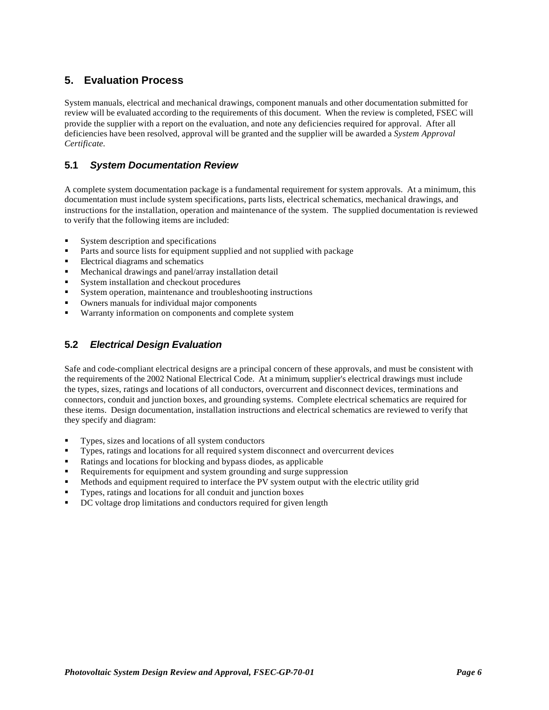# **5. Evaluation Process**

System manuals, electrical and mechanical drawings, component manuals and other documentation submitted for review will be evaluated according to the requirements of this document. When the review is completed, FSEC will provide the supplier with a report on the evaluation, and note any deficiencies required for approval. After all deficiencies have been resolved, approval will be granted and the supplier will be awarded a *System Approval Certificate.*

#### **5.1** *System Documentation Review*

A complete system documentation package is a fundamental requirement for system approvals. At a minimum, this documentation must include system specifications, parts lists, electrical schematics, mechanical drawings, and instructions for the installation, operation and maintenance of the system. The supplied documentation is reviewed to verify that the following items are included:

- ß System description and specifications
- ß Parts and source lists for equipment supplied and not supplied with package
- ß Electrical diagrams and schematics
- ß Mechanical drawings and panel/array installation detail
- ß System installation and checkout procedures
- ß System operation, maintenance and troubleshooting instructions
- ß Owners manuals for individual major components
- Warranty information on components and complete system

#### **5.2** *Electrical Design Evaluation*

Safe and code-compliant electrical designs are a principal concern of these approvals, and must be consistent with the requirements of the 2002 National Electrical Code. At a minimum, supplier's electrical drawings must include the types, sizes, ratings and locations of all conductors, overcurrent and disconnect devices, terminations and connectors, conduit and junction boxes, and grounding systems. Complete electrical schematics are required for these items. Design documentation, installation instructions and electrical schematics are reviewed to verify that they specify and diagram:

- Types, sizes and locations of all system conductors
- ß Types, ratings and locations for all required system disconnect and overcurrent devices
- ß Ratings and locations for blocking and bypass diodes, as applicable
- ß Requirements for equipment and system grounding and surge suppression
- ß Methods and equipment required to interface the PV system output with the electric utility grid
- ß Types, ratings and locations for all conduit and junction boxes
- ß DC voltage drop limitations and conductors required for given length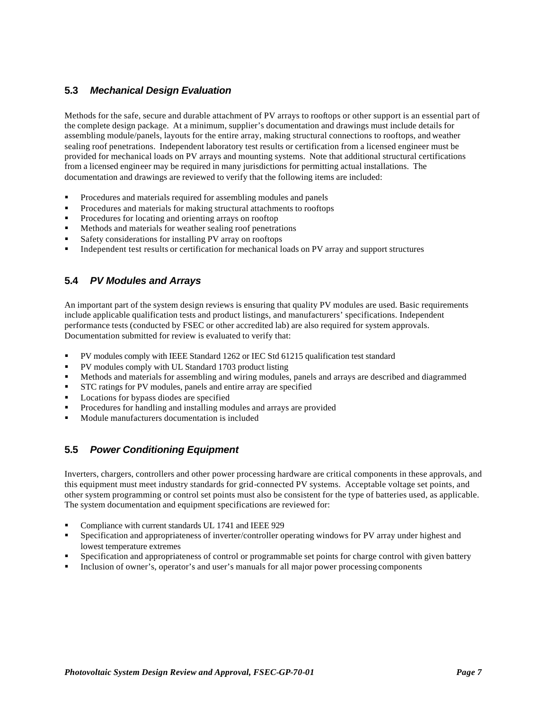#### **5.3** *Mechanical Design Evaluation*

Methods for the safe, secure and durable attachment of PV arrays to rooftops or other support is an essential part of the complete design package. At a minimum, supplier's documentation and drawings must include details for assembling module/panels, layouts for the entire array, making structural connections to rooftops, and weather sealing roof penetrations. Independent laboratory test results or certification from a licensed engineer must be provided for mechanical loads on PV arrays and mounting systems. Note that additional structural certifications from a licensed engineer may be required in many jurisdictions for permitting actual installations. The documentation and drawings are reviewed to verify that the following items are included:

- ß Procedures and materials required for assembling modules and panels
- ß Procedures and materials for making structural attachments to rooftops
- ß Procedures for locating and orienting arrays on rooftop
- ß Methods and materials for weather sealing roof penetrations
- ß Safety considerations for installing PV array on rooftops
- ß Independent test results or certification for mechanical loads on PV array and support structures

#### **5.4** *PV Modules and Arrays*

An important part of the system design reviews is ensuring that quality PV modules are used. Basic requirements include applicable qualification tests and product listings, and manufacturers' specifications. Independent performance tests (conducted by FSEC or other accredited lab) are also required for system approvals. Documentation submitted for review is evaluated to verify that:

- ß PV modules comply with IEEE Standard 1262 or IEC Std 61215 qualification test standard
- ß PV modules comply with UL Standard 1703 product listing
- ß Methods and materials for assembling and wiring modules, panels and arrays are described and diagrammed
- ß STC ratings for PV modules, panels and entire array are specified
- ß Locations for bypass diodes are specified
- ß Procedures for handling and installing modules and arrays are provided
- ß Module manufacturers documentation is included

#### **5.5** *Power Conditioning Equipment*

Inverters, chargers, controllers and other power processing hardware are critical components in these approvals, and this equipment must meet industry standards for grid-connected PV systems. Acceptable voltage set points, and other system programming or control set points must also be consistent for the type of batteries used, as applicable. The system documentation and equipment specifications are reviewed for:

- ß Compliance with current standards UL 1741 and IEEE 929
- ß Specification and appropriateness of inverter/controller operating windows for PV array under highest and lowest temperature extremes
- ß Specification and appropriateness of control or programmable set points for charge control with given battery
- ß Inclusion of owner's, operator's and user's manuals for all major power processing components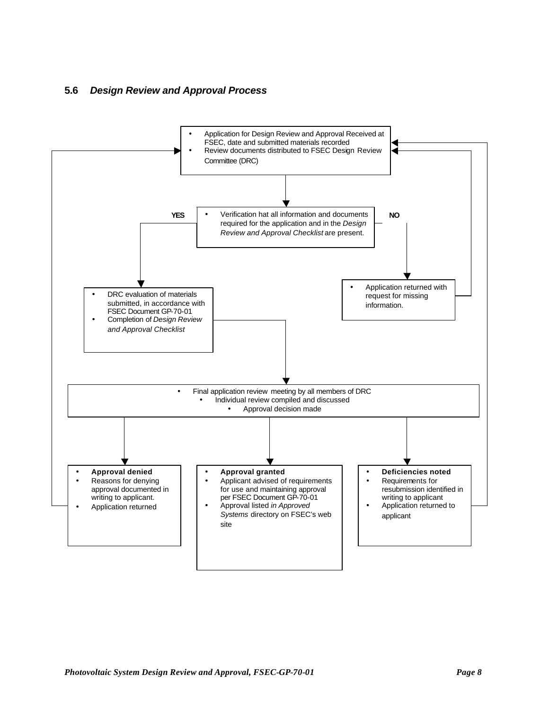#### **5.6** *Design Review and Approval Process*

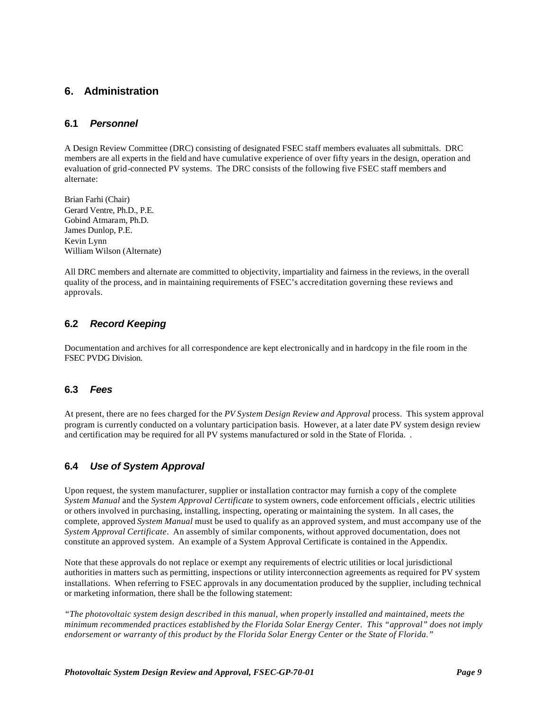#### **6. Administration**

#### **6.1** *Personnel*

A Design Review Committee (DRC) consisting of designated FSEC staff members evaluates all submittals. DRC members are all experts in the field and have cumulative experience of over fifty years in the design, operation and evaluation of grid-connected PV systems. The DRC consists of the following five FSEC staff members and alternate:

Brian Farhi (Chair) Gerard Ventre, Ph.D., P.E. Gobind Atmaram, Ph.D. James Dunlop, P.E. Kevin Lynn William Wilson (Alternate)

All DRC members and alternate are committed to objectivity, impartiality and fairness in the reviews, in the overall quality of the process, and in maintaining requirements of FSEC's accreditation governing these reviews and approvals.

#### **6.2** *Record Keeping*

Documentation and archives for all correspondence are kept electronically and in hardcopy in the file room in the FSEC PVDG Division.

#### **6.3** *Fees*

At present, there are no fees charged for the *PV System Design Review and Approval* process. This system approval program is currently conducted on a voluntary participation basis. However, at a later date PV system design review and certification may be required for all PV systems manufactured or sold in the State of Florida. .

#### **6.4** *Use of System Approval*

Upon request, the system manufacturer, supplier or installation contractor may furnish a copy of the complete *System Manual* and the *System Approval Certificate* to system owners, code enforcement officials, electric utilities or others involved in purchasing, installing, inspecting, operating or maintaining the system. In all cases, the complete, approved *System Manual* must be used to qualify as an approved system, and must accompany use of the *System Approval Certificate*. An assembly of similar components, without approved documentation, does not constitute an approved system. An example of a System Approval Certificate is contained in the Appendix.

Note that these approvals do not replace or exempt any requirements of electric utilities or local jurisdictional authorities in matters such as permitting, inspections or utility interconnection agreements as required for PV system installations. When referring to FSEC approvals in any documentation produced by the supplier, including technical or marketing information, there shall be the following statement:

*"The photovoltaic system design described in this manual, when properly installed and maintained, meets the minimum recommended practices established by the Florida Solar Energy Center. This "approval" does not imply endorsement or warranty of this product by the Florida Solar Energy Center or the State of Florida."*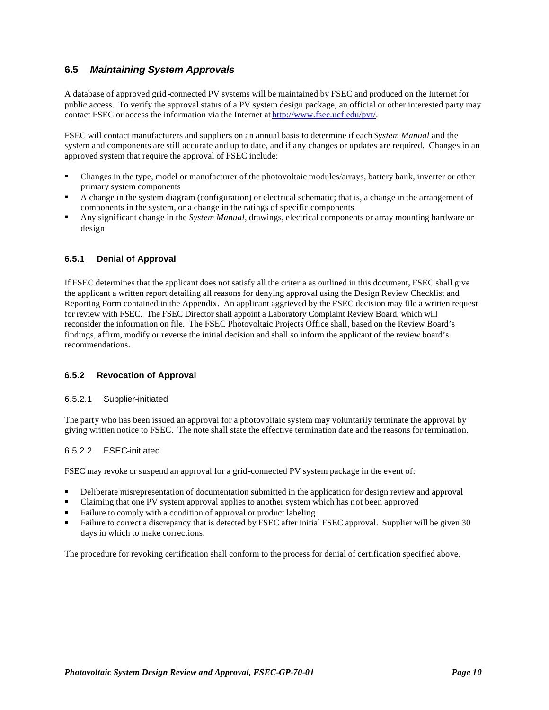#### **6.5** *Maintaining System Approvals*

A database of approved grid-connected PV systems will be maintained by FSEC and produced on the Internet for public access. To verify the approval status of a PV system design package, an official or other interested party may contact FSEC or access the information via the Internet at http://www.fsec.ucf.edu/pvt/.

FSEC will contact manufacturers and suppliers on an annual basis to determine if each *System Manual* and the system and components are still accurate and up to date, and if any changes or updates are required. Changes in an approved system that require the approval of FSEC include:

- ß Changes in the type, model or manufacturer of the photovoltaic modules/arrays, battery bank, inverter or other primary system components
- ß A change in the system diagram (configuration) or electrical schematic; that is, a change in the arrangement of components in the system, or a change in the ratings of specific components
- ß Any significant change in the *System Manual*, drawings, electrical components or array mounting hardware or design

#### **6.5.1 Denial of Approval**

If FSEC determines that the applicant does not satisfy all the criteria as outlined in this document, FSEC shall give the applicant a written report detailing all reasons for denying approval using the Design Review Checklist and Reporting Form contained in the Appendix. An applicant aggrieved by the FSEC decision may file a written request for review with FSEC. The FSEC Director shall appoint a Laboratory Complaint Review Board, which will reconsider the information on file. The FSEC Photovoltaic Projects Office shall, based on the Review Board's findings, affirm, modify or reverse the initial decision and shall so inform the applicant of the review board's recommendations.

#### **6.5.2 Revocation of Approval**

#### 6.5.2.1 Supplier-initiated

The party who has been issued an approval for a photovoltaic system may voluntarily terminate the approval by giving written notice to FSEC. The note shall state the effective termination date and the reasons for termination.

#### 6.5.2.2 FSEC-initiated

FSEC may revoke or suspend an approval for a grid-connected PV system package in the event of:

- ß Deliberate misrepresentation of documentation submitted in the application for design review and approval
- ß Claiming that one PV system approval applies to another system which has not been approved
- ß Failure to comply with a condition of approval or product labeling
- ß Failure to correct a discrepancy that is detected by FSEC after initial FSEC approval. Supplier will be given 30 days in which to make corrections.

The procedure for revoking certification shall conform to the process for denial of certification specified above.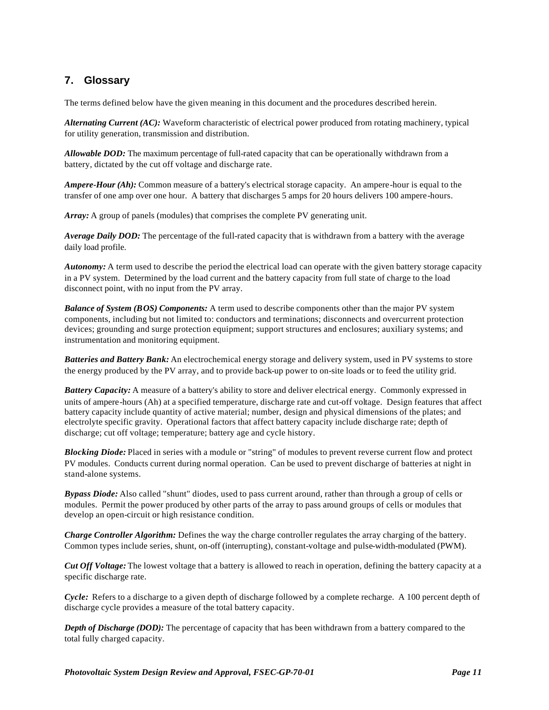# **7. Glossary**

The terms defined below have the given meaning in this document and the procedures described herein.

*Alternating Current (AC):* Waveform characteristic of electrical power produced from rotating machinery, typical for utility generation, transmission and distribution.

*Allowable DOD:* The maximum percentage of full-rated capacity that can be operationally withdrawn from a battery, dictated by the cut off voltage and discharge rate.

*Ampere-Hour (Ah):* Common measure of a battery's electrical storage capacity. An ampere-hour is equal to the transfer of one amp over one hour. A battery that discharges 5 amps for 20 hours delivers 100 ampere-hours.

*Array:* A group of panels (modules) that comprises the complete PV generating unit.

*Average Daily DOD:* The percentage of the full-rated capacity that is withdrawn from a battery with the average daily load profile.

*Autonomy:* A term used to describe the period the electrical load can operate with the given battery storage capacity in a PV system. Determined by the load current and the battery capacity from full state of charge to the load disconnect point, with no input from the PV array.

*Balance of System (BOS) Components:* A term used to describe components other than the major PV system components, including but not limited to: conductors and terminations; disconnects and overcurrent protection devices; grounding and surge protection equipment; support structures and enclosures; auxiliary systems; and instrumentation and monitoring equipment.

*Batteries and Battery Bank:* An electrochemical energy storage and delivery system, used in PV systems to store the energy produced by the PV array, and to provide back-up power to on-site loads or to feed the utility grid.

*Battery Capacity:* A measure of a battery's ability to store and deliver electrical energy. Commonly expressed in units of ampere-hours (Ah) at a specified temperature, discharge rate and cut-off voltage. Design features that affect battery capacity include quantity of active material; number, design and physical dimensions of the plates; and electrolyte specific gravity. Operational factors that affect battery capacity include discharge rate; depth of discharge; cut off voltage; temperature; battery age and cycle history.

*Blocking Diode:* Placed in series with a module or "string" of modules to prevent reverse current flow and protect PV modules. Conducts current during normal operation. Can be used to prevent discharge of batteries at night in stand-alone systems.

*Bypass Diode:* Also called "shunt" diodes, used to pass current around, rather than through a group of cells or modules. Permit the power produced by other parts of the array to pass around groups of cells or modules that develop an open-circuit or high resistance condition.

*Charge Controller Algorithm:* Defines the way the charge controller regulates the array charging of the battery. Common types include series, shunt, on-off (interrupting), constant-voltage and pulse-width-modulated (PWM).

*Cut Off Voltage:* The lowest voltage that a battery is allowed to reach in operation, defining the battery capacity at a specific discharge rate.

*Cycle:* Refers to a discharge to a given depth of discharge followed by a complete recharge. A 100 percent depth of discharge cycle provides a measure of the total battery capacity.

*Depth of Discharge (DOD):* The percentage of capacity that has been withdrawn from a battery compared to the total fully charged capacity.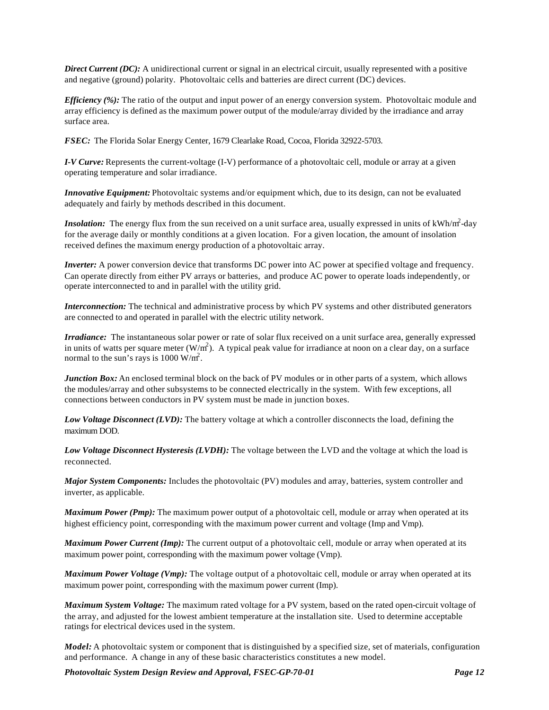*Direct Current (DC):* A unidirectional current or signal in an electrical circuit, usually represented with a positive and negative (ground) polarity. Photovoltaic cells and batteries are direct current (DC) devices.

*Efficiency (%):* The ratio of the output and input power of an energy conversion system. Photovoltaic module and array efficiency is defined as the maximum power output of the module/array divided by the irradiance and array surface area.

*FSEC:* The Florida Solar Energy Center, 1679 Clearlake Road, Cocoa, Florida 32922-5703.

*I-V Curve:* Represents the current-voltage (I-V) performance of a photovoltaic cell, module or array at a given operating temperature and solar irradiance.

*Innovative Equipment:* Photovoltaic systems and/or equipment which, due to its design, can not be evaluated adequately and fairly by methods described in this document.

**Insolation:** The energy flux from the sun received on a unit surface area, usually expressed in units of kWh/m<sup>2</sup>-day for the average daily or monthly conditions at a given location. For a given location, the amount of insolation received defines the maximum energy production of a photovoltaic array.

*Inverter:* A power conversion device that transforms DC power into AC power at specified voltage and frequency. Can operate directly from either PV arrays or batteries, and produce AC power to operate loads independently, or operate interconnected to and in parallel with the utility grid.

*Interconnection:* The technical and administrative process by which PV systems and other distributed generators are connected to and operated in parallel with the electric utility network.

*Irradiance*: The instantaneous solar power or rate of solar flux received on a unit surface area, generally expressed in units of watts per square meter ( $W/m<sup>2</sup>$ ). A typical peak value for irradiance at noon on a clear day, on a surface normal to the sun's rays is  $1000 \text{ W/m}^2$ .

*Junction Box:* An enclosed terminal block on the back of PV modules or in other parts of a system, which allows the modules/array and other subsystems to be connected electrically in the system. With few exceptions, all connections between conductors in PV system must be made in junction boxes.

*Low Voltage Disconnect (LVD):* The battery voltage at which a controller disconnects the load, defining the maximum DOD.

*Low Voltage Disconnect Hysteresis (LVDH):* The voltage between the LVD and the voltage at which the load is reconnected.

*Major System Components:* Includes the photovoltaic (PV) modules and array, batteries, system controller and inverter, as applicable.

*Maximum Power (Pmp):* The maximum power output of a photovoltaic cell, module or array when operated at its highest efficiency point, corresponding with the maximum power current and voltage (Imp and Vmp).

*Maximum Power Current (Imp):* The current output of a photovoltaic cell, module or array when operated at its maximum power point, corresponding with the maximum power voltage (Vmp).

*Maximum Power Voltage (Vmp)*: The voltage output of a photovoltaic cell, module or array when operated at its maximum power point, corresponding with the maximum power current (Imp).

*Maximum System Voltage:* The maximum rated voltage for a PV system, based on the rated open-circuit voltage of the array, and adjusted for the lowest ambient temperature at the installation site. Used to determine acceptable ratings for electrical devices used in the system.

*Model:* A photovoltaic system or component that is distinguished by a specified size, set of materials, configuration and performance. A change in any of these basic characteristics constitutes a new model.

*Photovoltaic System Design Review and Approval, FSEC-GP-70-01 Page 12*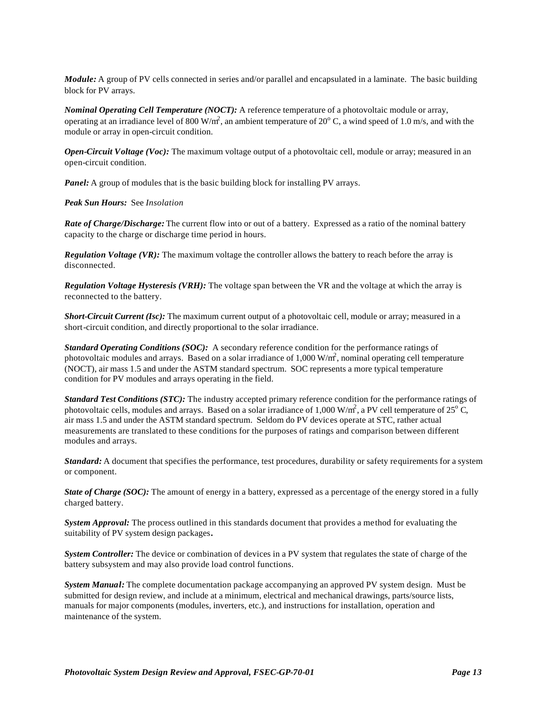*Module:* A group of PV cells connected in series and/or parallel and encapsulated in a laminate. The basic building block for PV arrays.

*Nominal Operating Cell Temperature (NOCT):* A reference temperature of a photovoltaic module or array, operating at an irradiance level of 800 W/m<sup>2</sup>, an ambient temperature of 20 $^{\circ}$  C, a wind speed of 1.0 m/s, and with the module or array in open-circuit condition.

*Open-Circuit Voltage (Voc):* The maximum voltage output of a photovoltaic cell, module or array; measured in an open-circuit condition.

**Panel:** A group of modules that is the basic building block for installing PV arrays.

*Peak Sun Hours:* See *Insolation*

*Rate of Charge/Discharge:* The current flow into or out of a battery. Expressed as a ratio of the nominal battery capacity to the charge or discharge time period in hours.

*Regulation Voltage (VR):* The maximum voltage the controller allows the battery to reach before the array is disconnected.

*Regulation Voltage Hysteresis (VRH):* The voltage span between the VR and the voltage at which the array is reconnected to the battery.

*Short-Circuit Current (Isc)*: The maximum current output of a photovoltaic cell, module or array; measured in a short-circuit condition, and directly proportional to the solar irradiance.

*Standard Operating Conditions (SOC):* A secondary reference condition for the performance ratings of photovoltaic modules and arrays. Based on a solar irradiance of 1,000 W/m<sup>2</sup>, nominal operating cell temperature (NOCT), air mass 1.5 and under the ASTM standard spectrum. SOC represents a more typical temperature condition for PV modules and arrays operating in the field.

*Standard Test Conditions (STC):* The industry accepted primary reference condition for the performance ratings of photovoltaic cells, modules and arrays. Based on a solar irradiance of 1,000 W/m<sup>2</sup>, a PV cell temperature of 25<sup>°</sup>C, air mass 1.5 and under the ASTM standard spectrum. Seldom do PV devices operate at STC, rather actual measurements are translated to these conditions for the purposes of ratings and comparison between different modules and arrays.

*Standard:* A document that specifies the performance, test procedures, durability or safety requirements for a system or component.

*State of Charge (SOC):* The amount of energy in a battery, expressed as a percentage of the energy stored in a fully charged battery.

*System Approval:* The process outlined in this standards document that provides a method for evaluating the suitability of PV system design packages*.*

*System Controller:* The device or combination of devices in a PV system that regulates the state of charge of the battery subsystem and may also provide load control functions.

*System Manual:* The complete documentation package accompanying an approved PV system design. Must be submitted for design review, and include at a minimum, electrical and mechanical drawings, parts/source lists, manuals for major components (modules, inverters, etc.), and instructions for installation, operation and maintenance of the system.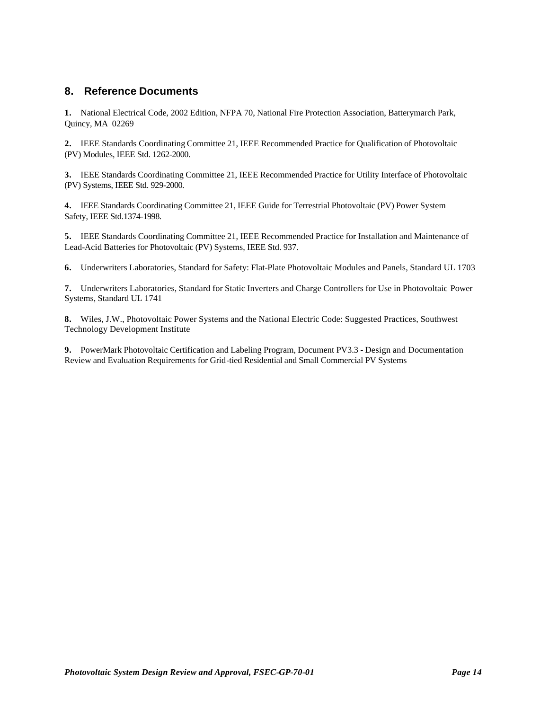#### **8. Reference Documents**

**1.** National Electrical Code, 2002 Edition, NFPA 70, National Fire Protection Association, Batterymarch Park, Quincy, MA 02269

**2.** IEEE Standards Coordinating Committee 21, IEEE Recommended Practice for Qualification of Photovoltaic (PV) Modules, IEEE Std. 1262-2000.

**3.** IEEE Standards Coordinating Committee 21, IEEE Recommended Practice for Utility Interface of Photovoltaic (PV) Systems, IEEE Std. 929-2000.

**4.** IEEE Standards Coordinating Committee 21, IEEE Guide for Terrestrial Photovoltaic (PV) Power System Safety, IEEE Std.1374-1998.

**5.** IEEE Standards Coordinating Committee 21, IEEE Recommended Practice for Installation and Maintenance of Lead-Acid Batteries for Photovoltaic (PV) Systems, IEEE Std. 937.

**6.** Underwriters Laboratories, Standard for Safety: Flat-Plate Photovoltaic Modules and Panels, Standard UL 1703

**7.** Underwriters Laboratories, Standard for Static Inverters and Charge Controllers for Use in Photovoltaic Power Systems, Standard UL 1741

**8.** Wiles, J.W., Photovoltaic Power Systems and the National Electric Code: Suggested Practices, Southwest Technology Development Institute

**9.** PowerMark Photovoltaic Certification and Labeling Program, Document PV3.3 - Design and Documentation Review and Evaluation Requirements for Grid-tied Residential and Small Commercial PV Systems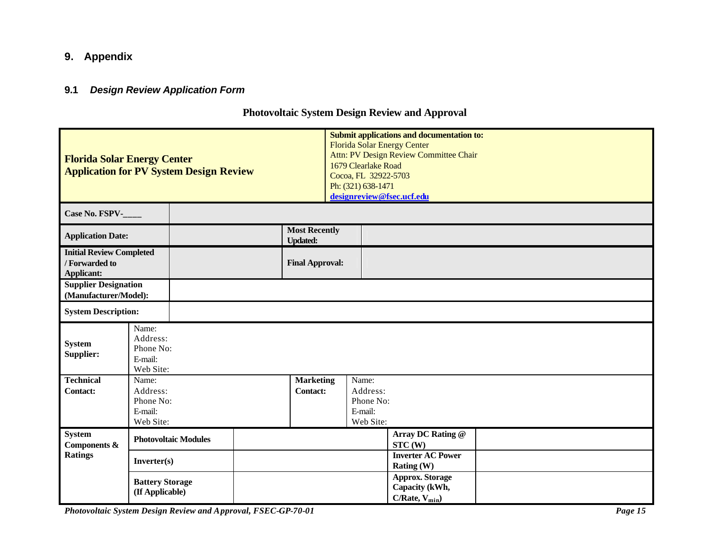# **9. Appendix**

#### **9.1** *Design Review Application Form*

# **Photovoltaic System Design Review and Approval**

| <b>Florida Solar Energy Center</b><br><b>Application for PV System Design Review</b> |                                                        |                                         | 1679 Clearlake Road<br>Cocoa, FL 32922-5703<br>Ph: (321) 638-1471 | <b>Submit applications and documentation to:</b><br><b>Florida Solar Energy Center</b><br>Attn: PV Design Review Committee Chair<br>designreview@fsec.ucf.edu |  |
|--------------------------------------------------------------------------------------|--------------------------------------------------------|-----------------------------------------|-------------------------------------------------------------------|---------------------------------------------------------------------------------------------------------------------------------------------------------------|--|
| Case No. FSPV-                                                                       |                                                        |                                         |                                                                   |                                                                                                                                                               |  |
| <b>Application Date:</b>                                                             |                                                        | <b>Most Recently</b><br><b>Updated:</b> |                                                                   |                                                                                                                                                               |  |
| <b>Initial Review Completed</b><br>/ Forwarded to<br>Applicant:                      |                                                        | <b>Final Approval:</b>                  |                                                                   |                                                                                                                                                               |  |
| <b>Supplier Designation</b><br>(Manufacturer/Model):                                 |                                                        |                                         |                                                                   |                                                                                                                                                               |  |
| <b>System Description:</b>                                                           |                                                        |                                         |                                                                   |                                                                                                                                                               |  |
| <b>System</b><br>Supplier:                                                           | Name:<br>Address:<br>Phone No:<br>E-mail:<br>Web Site: |                                         |                                                                   |                                                                                                                                                               |  |
| <b>Technical</b><br><b>Contact:</b>                                                  | Name:<br>Address:<br>Phone No:<br>E-mail:<br>Web Site: | <b>Marketing</b><br><b>Contact:</b>     | Name:<br>Address:<br>Phone No:<br>E-mail:<br>Web Site:            |                                                                                                                                                               |  |
| <b>System</b><br>Components &                                                        | <b>Photovoltaic Modules</b>                            |                                         |                                                                   | Array DC Rating @<br>STC(W)                                                                                                                                   |  |
| <b>Ratings</b>                                                                       | Inverter(s)                                            |                                         |                                                                   | <b>Inverter AC Power</b><br>Rating (W)                                                                                                                        |  |
|                                                                                      | <b>Battery Storage</b><br>(If Applicable)              |                                         |                                                                   | <b>Approx. Storage</b><br>Capacity (kWh,<br>$C/Rate, V_{min}$                                                                                                 |  |

*Photovoltaic System Design Review and Approval, FSEC-GP-70-01 Page 15*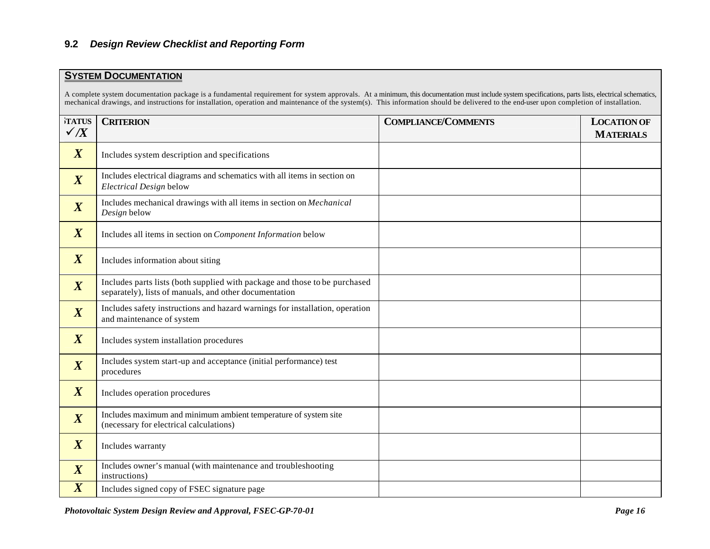#### **9.2** *Design Review Checklist and Reporting Form*

#### **SYSTEM DOCUMENTATION**

A complete system documentation package is a fundamental requirement for system approvals. At a minimum, this documentation must include system specifications, parts lists, electrical schematics, mechanical drawings, and instructions for installation, operation and maintenance of the system(s). This information should be delivered to the end-user upon completion of installation.

| TATUS            | <b>CRITERION</b>                                                                                                                     | <b>COMPLIANCE/COMMENTS</b> | <b>LOCATION OF</b> |
|------------------|--------------------------------------------------------------------------------------------------------------------------------------|----------------------------|--------------------|
| $\checkmark$ /X  |                                                                                                                                      |                            | <b>MATERIALS</b>   |
| $\boldsymbol{X}$ | Includes system description and specifications                                                                                       |                            |                    |
| $\boldsymbol{X}$ | Includes electrical diagrams and schematics with all items in section on<br>Electrical Design below                                  |                            |                    |
| $\boldsymbol{X}$ | Includes mechanical drawings with all items in section on Mechanical<br>Design below                                                 |                            |                    |
| $\boldsymbol{X}$ | Includes all items in section on Component Information below                                                                         |                            |                    |
| $\boldsymbol{X}$ | Includes information about siting                                                                                                    |                            |                    |
| $\boldsymbol{X}$ | Includes parts lists (both supplied with package and those to be purchased<br>separately), lists of manuals, and other documentation |                            |                    |
| $\overline{X}$   | Includes safety instructions and hazard warnings for installation, operation<br>and maintenance of system                            |                            |                    |
| $\boldsymbol{X}$ | Includes system installation procedures                                                                                              |                            |                    |
| $\boldsymbol{X}$ | Includes system start-up and acceptance (initial performance) test<br>procedures                                                     |                            |                    |
| $\boldsymbol{X}$ | Includes operation procedures                                                                                                        |                            |                    |
| $\boldsymbol{X}$ | Includes maximum and minimum ambient temperature of system site<br>(necessary for electrical calculations)                           |                            |                    |
| $\boldsymbol{X}$ | Includes warranty                                                                                                                    |                            |                    |
| $\boldsymbol{X}$ | Includes owner's manual (with maintenance and troubleshooting<br>instructions)                                                       |                            |                    |
| $\boldsymbol{X}$ | Includes signed copy of FSEC signature page                                                                                          |                            |                    |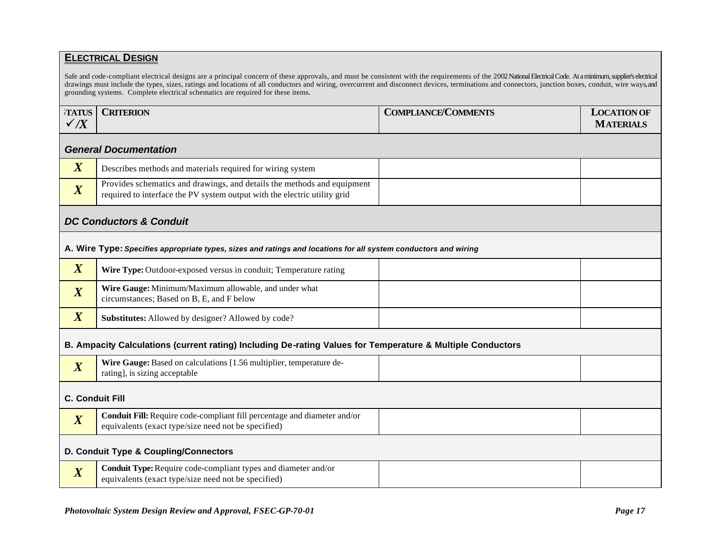#### **ELECTRICAL DESIGN**

Safe and code-compliant electrical designs are a principal concern of these approvals, and must be consistent with the requirements of the 2002 National Electrical Code. At a minimum, supplier's electrical drawings must include the types, sizes, ratings and locations of all conductors and wiring, overcurrent and disconnect devices, terminations and connectors, junction boxes, conduit, wire ways, and grounding systems. Complete electrical schematics are required for these items.

|                | <b>TATUS   CRITERION</b> | <b>COMPLIANCE/COMMENTS</b> | <b>LOCATION OF</b> |
|----------------|--------------------------|----------------------------|--------------------|
| $\overline{X}$ |                          |                            | <b>MATERIALS</b>   |

#### *General Documentation*

| Describes methods and materials required for wiring system                                                                                           |  |
|------------------------------------------------------------------------------------------------------------------------------------------------------|--|
| Provides schematics and drawings, and details the methods and equipment<br>required to interface the PV system output with the electric utility grid |  |

#### *DC Conductors & Conduit*

#### **A. Wire Type:** *Specifies appropriate types, sizes and ratings and locations for all system conductors and wiring*

| TZ.<br>$\Lambda$ | Wire Type: Outdoor-exposed versus in conduit; Temperature rating                                   |  |
|------------------|----------------------------------------------------------------------------------------------------|--|
| $\Lambda$        | Wire Gauge: Minimum/Maximum allowable, and under what<br>circumstances; Based on B, E, and F below |  |
|                  | Substitutes: Allowed by designer? Allowed by code?                                                 |  |

#### **B. Ampacity Calculations (current rating) Including De-rating Values for Temperature & Multiple Conductors**

|  | $-$<br>$\overline{\phantom{a}}$ | T T T<br>Gauge∙ ∵<br>$M$ ina<br>multiplie:<br>Based on calculations.<br>temperature de-<br><b>VVILC</b><br>. u<br>acceptable<br>rating<br>!], 18 \$1Z1Ng<br>$\mathbf{C}$<br>້ |  |  |
|--|---------------------------------|-------------------------------------------------------------------------------------------------------------------------------------------------------------------------------|--|--|
|--|---------------------------------|-------------------------------------------------------------------------------------------------------------------------------------------------------------------------------|--|--|

#### **C. Conduit Fill**

| TZ.<br>$\Lambda$ | <b>Conduit Fill:</b> Require code-compliant fill percentage and diameter and/or<br>equivalents (exact type/size need not be specified) |  |
|------------------|----------------------------------------------------------------------------------------------------------------------------------------|--|
|                  | D. Conduit Type & Coupling/Connectors                                                                                                  |  |

|  | <b>Conduit Type:</b> Require code-compliant types and diameter and/or<br>quivalents (exact type/size need not be specified) |  |  |
|--|-----------------------------------------------------------------------------------------------------------------------------|--|--|
|--|-----------------------------------------------------------------------------------------------------------------------------|--|--|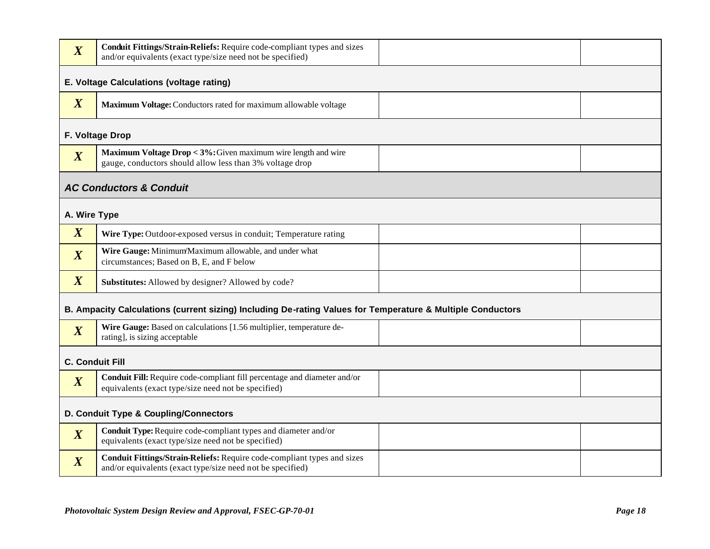| $\boldsymbol{X}$ | Conduit Fittings/Strain-Reliefs: Require code-compliant types and sizes<br>and/or equivalents (exact type/size need not be specified) |  |  |  |
|------------------|---------------------------------------------------------------------------------------------------------------------------------------|--|--|--|
|                  | E. Voltage Calculations (voltage rating)                                                                                              |  |  |  |
| $\boldsymbol{X}$ | Maximum Voltage: Conductors rated for maximum allowable voltage                                                                       |  |  |  |
|                  | F. Voltage Drop                                                                                                                       |  |  |  |
| $\boldsymbol{X}$ | Maximum Voltage Drop < 3%: Given maximum wire length and wire<br>gauge, conductors should allow less than 3% voltage drop             |  |  |  |
|                  | <b>AC Conductors &amp; Conduit</b>                                                                                                    |  |  |  |
| A. Wire Type     |                                                                                                                                       |  |  |  |
| $\boldsymbol{X}$ | Wire Type: Outdoor-exposed versus in conduit; Temperature rating                                                                      |  |  |  |
| $\boldsymbol{X}$ | Wire Gauge: Minimum/Maximum allowable, and under what<br>circumstances; Based on B, E, and F below                                    |  |  |  |
| $\boldsymbol{X}$ | Substitutes: Allowed by designer? Allowed by code?                                                                                    |  |  |  |
|                  | B. Ampacity Calculations (current sizing) Including De-rating Values for Temperature & Multiple Conductors                            |  |  |  |
| $\boldsymbol{X}$ | Wire Gauge: Based on calculations [1.56 multiplier, temperature de-<br>rating], is sizing acceptable                                  |  |  |  |
|                  | <b>C. Conduit Fill</b>                                                                                                                |  |  |  |
| $\boldsymbol{X}$ | Conduit Fill: Require code-compliant fill percentage and diameter and/or<br>equivalents (exact type/size need not be specified)       |  |  |  |
|                  | D. Conduit Type & Coupling/Connectors                                                                                                 |  |  |  |
| $\boldsymbol{X}$ | Conduit Type: Require code-compliant types and diameter and/or<br>equivalents (exact type/size need not be specified)                 |  |  |  |
| $\boldsymbol{X}$ | Conduit Fittings/Strain-Reliefs: Require code-compliant types and sizes<br>and/or equivalents (exact type/size need not be specified) |  |  |  |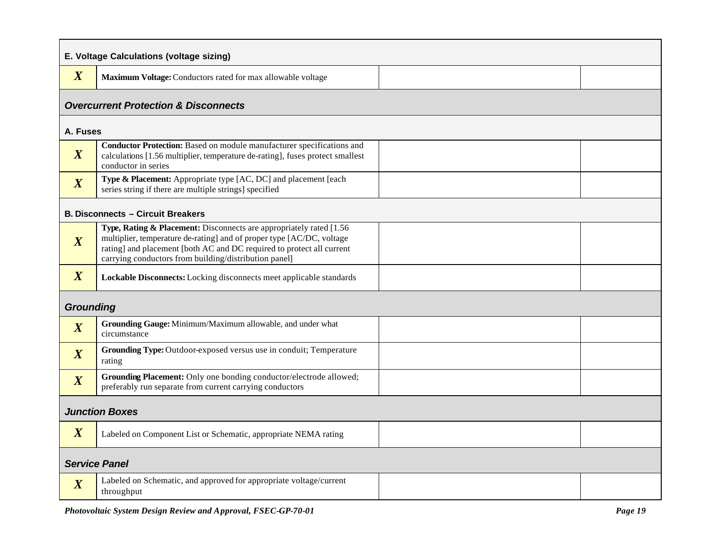| E. Voltage Calculations (voltage sizing) |                                                                                                                                                                                                                                                                                |  |  |
|------------------------------------------|--------------------------------------------------------------------------------------------------------------------------------------------------------------------------------------------------------------------------------------------------------------------------------|--|--|
| $\boldsymbol{X}$                         | Maximum Voltage: Conductors rated for max allowable voltage                                                                                                                                                                                                                    |  |  |
|                                          | <b>Overcurrent Protection &amp; Disconnects</b>                                                                                                                                                                                                                                |  |  |
| A. Fuses                                 |                                                                                                                                                                                                                                                                                |  |  |
| $\boldsymbol{X}$                         | Conductor Protection: Based on module manufacturer specifications and<br>calculations [1.56 multiplier, temperature de-rating], fuses protect smallest<br>conductor in series                                                                                                  |  |  |
| $\boldsymbol{X}$                         | Type & Placement: Appropriate type [AC, DC] and placement [each<br>series string if there are multiple strings] specified                                                                                                                                                      |  |  |
|                                          | <b>B. Disconnects - Circuit Breakers</b>                                                                                                                                                                                                                                       |  |  |
| $\boldsymbol{X}$                         | Type, Rating & Placement: Disconnects are appropriately rated [1.56<br>multiplier, temperature de-rating] and of proper type [AC/DC, voltage<br>rating] and placement [both AC and DC required to protect all current<br>carrying conductors from building/distribution panel] |  |  |
| $\boldsymbol{X}$                         | Lockable Disconnects: Locking disconnects meet applicable standards                                                                                                                                                                                                            |  |  |
| <b>Grounding</b>                         |                                                                                                                                                                                                                                                                                |  |  |
| $\boldsymbol{X}$                         | Grounding Gauge: Minimum/Maximum allowable, and under what<br>circumstance                                                                                                                                                                                                     |  |  |
| $\boldsymbol{X}$                         | Grounding Type: Outdoor-exposed versus use in conduit; Temperature<br>rating                                                                                                                                                                                                   |  |  |
| $\boldsymbol{X}$                         | Grounding Placement: Only one bonding conductor/electrode allowed;<br>preferably run separate from current carrying conductors                                                                                                                                                 |  |  |
| <b>Junction Boxes</b>                    |                                                                                                                                                                                                                                                                                |  |  |
| $\boldsymbol{X}$                         | Labeled on Component List or Schematic, appropriate NEMA rating                                                                                                                                                                                                                |  |  |
| <b>Service Panel</b>                     |                                                                                                                                                                                                                                                                                |  |  |
| $\boldsymbol{X}$                         | Labeled on Schematic, and approved for appropriate voltage/current<br>throughput                                                                                                                                                                                               |  |  |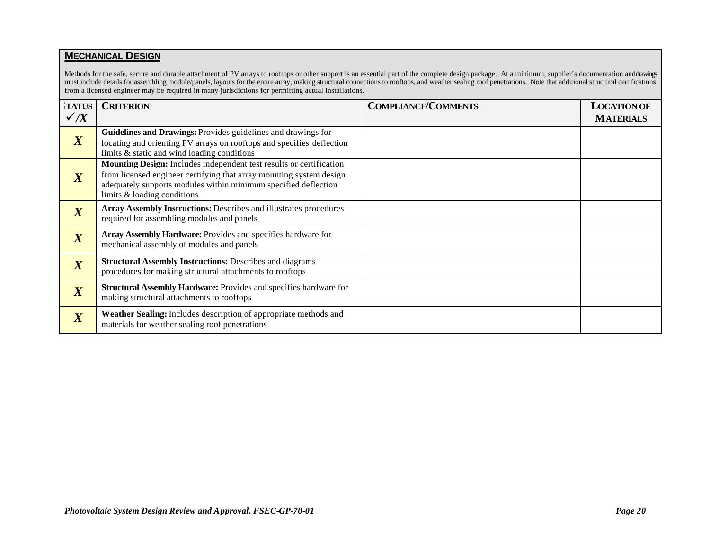#### **MECHANICAL DESIGN**

Methods for the safe, secure and durable attachment of PV arrays to rooftops or other support is an essential part of the complete design package. At a minimum, supplier's documentation and drawings must include details for assembling module/panels, layouts for the entire array, making structural connections to rooftops, and weather sealing roof penetrations. Note that additional structural certifications from a licensed engineer may be required in many jurisdictions for permitting actual installations.

| TATUS<br>$\checkmark$ /X    | <b>CRITERION</b>                                                                                                                                                                                                                             | <b>COMPLIANCE/COMMENTS</b> | <b>LOCATION OF</b><br><b>MATERIALS</b> |
|-----------------------------|----------------------------------------------------------------------------------------------------------------------------------------------------------------------------------------------------------------------------------------------|----------------------------|----------------------------------------|
| $\boldsymbol{X}$            | Guidelines and Drawings: Provides guidelines and drawings for<br>locating and orienting PV arrays on rooftops and specifies deflection<br>limits & static and wind loading conditions                                                        |                            |                                        |
| $\boldsymbol{X}$            | Mounting Design: Includes independent test results or certification<br>from licensed engineer certifying that array mounting system design<br>adequately supports modules within minimum specified deflection<br>limits & loading conditions |                            |                                        |
| $\boldsymbol{X}$            | <b>Array Assembly Instructions: Describes and illustrates procedures</b><br>required for assembling modules and panels                                                                                                                       |                            |                                        |
| $\overline{X}$              | Array Assembly Hardware: Provides and specifies hardware for<br>mechanical assembly of modules and panels                                                                                                                                    |                            |                                        |
| $\overline{\boldsymbol{X}}$ | <b>Structural Assembly Instructions: Describes and diagrams</b><br>procedures for making structural attachments to rooftops                                                                                                                  |                            |                                        |
| $\overline{X}$              | Structural Assembly Hardware: Provides and specifies hardware for<br>making structural attachments to rooftops                                                                                                                               |                            |                                        |
| $\boldsymbol{X}$            | Weather Sealing: Includes description of appropriate methods and<br>materials for weather sealing roof penetrations                                                                                                                          |                            |                                        |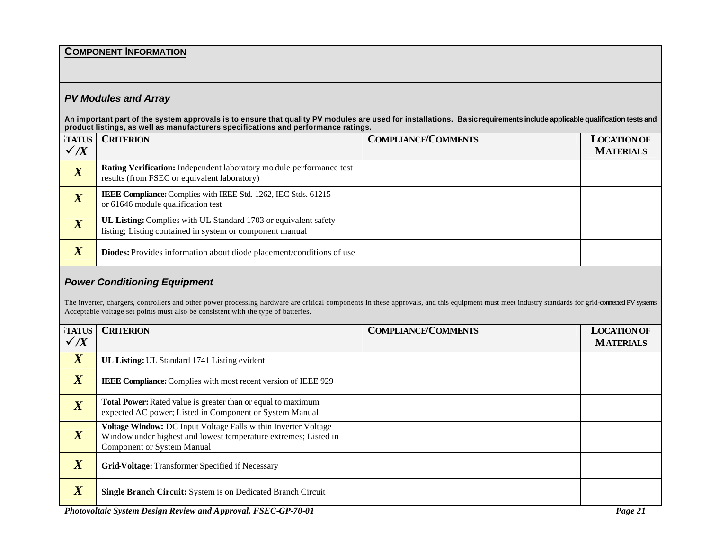#### **COMPONENT INFORMATION**

#### *PV Modules and Array*

**An important part of the system approvals is to ensure that quality PV modules are used for installations. Basic requirements include applicable qualification tests and product listings, as well as manufacturers specifications and performance ratings.**

| <b>TATUS</b>           | <b>CRITERION</b>                                                                                                                   | <b>COMPLIANCE/COMMENTS</b> | <b>LOCATION OF</b> |
|------------------------|------------------------------------------------------------------------------------------------------------------------------------|----------------------------|--------------------|
| $\checkmark$ /X        |                                                                                                                                    |                            | <b>MATERIALS</b>   |
|                        | <b>Rating Verification:</b> Independent laboratory mo dule performance test<br>results (from FSEC or equivalent laboratory)        |                            |                    |
| $\boldsymbol{\Lambda}$ | IEEE Compliance: Complies with IEEE Std. 1262, IEC Stds. 61215<br>or 61646 module qualification test                               |                            |                    |
| $\overline{X}$         | <b>UL Listing:</b> Complies with UL Standard 1703 or equivalent safety<br>listing; Listing contained in system or component manual |                            |                    |
| $\overline{X}$         | <b>Diodes:</b> Provides information about diode placement/conditions of use                                                        |                            |                    |

#### *Power Conditioning Equipment*

The inverter, chargers, controllers and other power processing hardware are critical components in these approvals, and this equipment must meet industry standards for grid-connected PV systems. Acceptable voltage set points must also be consistent with the type of batteries.

| <b>TATUS</b><br>$\checkmark$ /X | <b>CRITERION</b>                                                                                                                                                       | <b>COMPLIANCE/COMMENTS</b> | <b>LOCATION OF</b><br><b>MATERIALS</b> |
|---------------------------------|------------------------------------------------------------------------------------------------------------------------------------------------------------------------|----------------------------|----------------------------------------|
| $\boldsymbol{X}$                | UL Listing: UL Standard 1741 Listing evident                                                                                                                           |                            |                                        |
| $\boldsymbol{X}$                | <b>IEEE Compliance:</b> Complies with most recent version of IEEE 929                                                                                                  |                            |                                        |
| $\boldsymbol{X}$                | <b>Total Power:</b> Rated value is greater than or equal to maximum<br>expected AC power; Listed in Component or System Manual                                         |                            |                                        |
| $\boldsymbol{X}$                | Voltage Window: DC Input Voltage Falls within Inverter Voltage<br>Window under highest and lowest temperature extremes; Listed in<br><b>Component or System Manual</b> |                            |                                        |
| $\overline{X}$                  | Grid-Voltage: Transformer Specified if Necessary                                                                                                                       |                            |                                        |
| $\overline{X}$                  | Single Branch Circuit: System is on Dedicated Branch Circuit                                                                                                           |                            |                                        |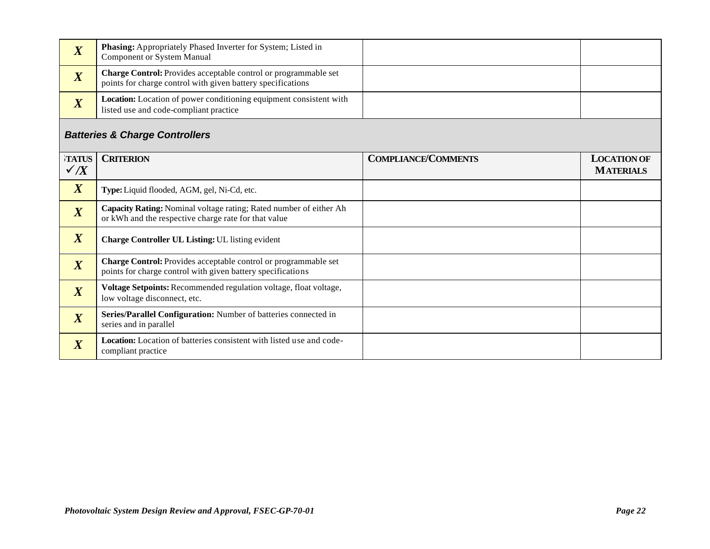| $\mathbf{v}$<br>A                         | Phasing: Appropriately Phased Inverter for System; Listed in<br>Component or System Manual                                            |                            |                                        |
|-------------------------------------------|---------------------------------------------------------------------------------------------------------------------------------------|----------------------------|----------------------------------------|
| $\boldsymbol{X}$                          | <b>Charge Control:</b> Provides acceptable control or programmable set<br>points for charge control with given battery specifications |                            |                                        |
| $\overline{X}$                            | Location: Location of power conditioning equipment consistent with<br>listed use and code-compliant practice                          |                            |                                        |
| <b>Batteries &amp; Charge Controllers</b> |                                                                                                                                       |                            |                                        |
| TATUS<br>$\checkmark$ /X                  | <b>CRITERION</b>                                                                                                                      | <b>COMPLIANCE/COMMENTS</b> | <b>LOCATION OF</b><br><b>MATERIALS</b> |
| $\mathbf{v}$                              | <b>Type:</b> Liquid flooded, AGM, gel, Ni-Cd, etc.                                                                                    |                            |                                        |

| $\boldsymbol{X}$ | Type: Liquid flooded, AGM, gel, Ni-Cd, etc.                                                                                           |  |
|------------------|---------------------------------------------------------------------------------------------------------------------------------------|--|
| $\overline{X}$   | Capacity Rating: Nominal voltage rating; Rated number of either Ah<br>or kWh and the respective charge rate for that value            |  |
| $\boldsymbol{X}$ | <b>Charge Controller UL Listing: UL listing evident</b>                                                                               |  |
| $\boldsymbol{X}$ | <b>Charge Control:</b> Provides acceptable control or programmable set<br>points for charge control with given battery specifications |  |
| $\boldsymbol{X}$ | Voltage Setpoints: Recommended regulation voltage, float voltage,<br>low voltage disconnect, etc.                                     |  |
| $\boldsymbol{X}$ | Series/Parallel Configuration: Number of batteries connected in<br>series and in parallel                                             |  |
| $\boldsymbol{X}$ | Location: Location of batteries consistent with listed use and code-<br>compliant practice                                            |  |